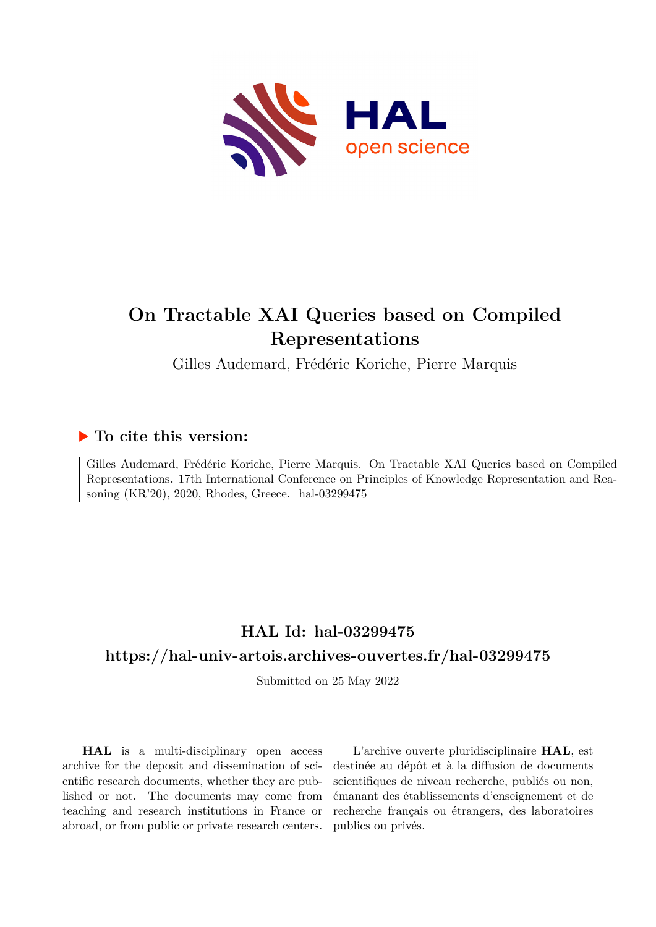

# **On Tractable XAI Queries based on Compiled Representations**

Gilles Audemard, Frédéric Koriche, Pierre Marquis

## **To cite this version:**

Gilles Audemard, Frédéric Koriche, Pierre Marquis. On Tractable XAI Queries based on Compiled Representations. 17th International Conference on Principles of Knowledge Representation and Reasoning  $(KR'20)$ , 2020, Rhodes, Greece. hal-03299475

## **HAL Id: hal-03299475**

## **<https://hal-univ-artois.archives-ouvertes.fr/hal-03299475>**

Submitted on 25 May 2022

**HAL** is a multi-disciplinary open access archive for the deposit and dissemination of scientific research documents, whether they are published or not. The documents may come from teaching and research institutions in France or abroad, or from public or private research centers.

L'archive ouverte pluridisciplinaire **HAL**, est destinée au dépôt et à la diffusion de documents scientifiques de niveau recherche, publiés ou non, émanant des établissements d'enseignement et de recherche français ou étrangers, des laboratoires publics ou privés.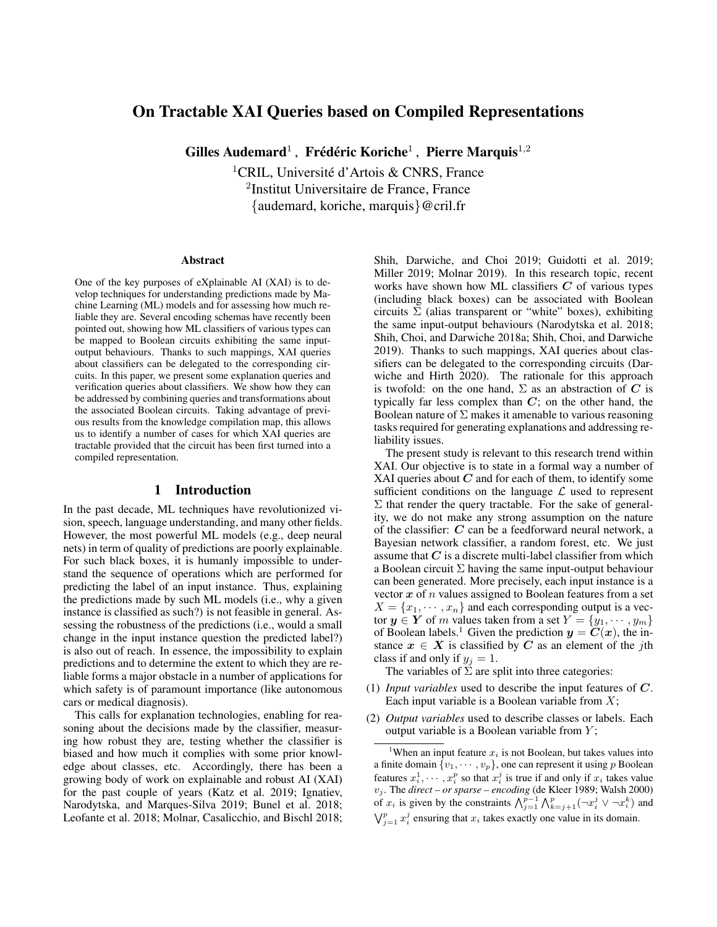### On Tractable XAI Queries based on Compiled Representations

Gilles Audemard<sup>1</sup>, Frédéric Koriche<sup>1</sup>, Pierre Marquis<sup>1,2</sup>

<sup>1</sup>CRIL, Université d'Artois & CNRS, France 2 Institut Universitaire de France, France {audemard, koriche, marquis}@cril.fr

#### Abstract

One of the key purposes of eXplainable AI (XAI) is to develop techniques for understanding predictions made by Machine Learning (ML) models and for assessing how much reliable they are. Several encoding schemas have recently been pointed out, showing how ML classifiers of various types can be mapped to Boolean circuits exhibiting the same inputoutput behaviours. Thanks to such mappings, XAI queries about classifiers can be delegated to the corresponding circuits. In this paper, we present some explanation queries and verification queries about classifiers. We show how they can be addressed by combining queries and transformations about the associated Boolean circuits. Taking advantage of previous results from the knowledge compilation map, this allows us to identify a number of cases for which XAI queries are tractable provided that the circuit has been first turned into a compiled representation.

#### 1 Introduction

In the past decade, ML techniques have revolutionized vision, speech, language understanding, and many other fields. However, the most powerful ML models (e.g., deep neural nets) in term of quality of predictions are poorly explainable. For such black boxes, it is humanly impossible to understand the sequence of operations which are performed for predicting the label of an input instance. Thus, explaining the predictions made by such ML models (i.e., why a given instance is classified as such?) is not feasible in general. Assessing the robustness of the predictions (i.e., would a small change in the input instance question the predicted label?) is also out of reach. In essence, the impossibility to explain predictions and to determine the extent to which they are reliable forms a major obstacle in a number of applications for which safety is of paramount importance (like autonomous cars or medical diagnosis).

This calls for explanation technologies, enabling for reasoning about the decisions made by the classifier, measuring how robust they are, testing whether the classifier is biased and how much it complies with some prior knowledge about classes, etc. Accordingly, there has been a growing body of work on explainable and robust AI (XAI) for the past couple of years (Katz et al. 2019; Ignatiev, Narodytska, and Marques-Silva 2019; Bunel et al. 2018; Leofante et al. 2018; Molnar, Casalicchio, and Bischl 2018;

Shih, Darwiche, and Choi 2019; Guidotti et al. 2019; Miller 2019; Molnar 2019). In this research topic, recent works have shown how ML classifiers  $C$  of various types (including black boxes) can be associated with Boolean circuits  $\Sigma$  (alias transparent or "white" boxes), exhibiting the same input-output behaviours (Narodytska et al. 2018; Shih, Choi, and Darwiche 2018a; Shih, Choi, and Darwiche 2019). Thanks to such mappings, XAI queries about classifiers can be delegated to the corresponding circuits (Darwiche and Hirth 2020). The rationale for this approach is twofold: on the one hand,  $\Sigma$  as an abstraction of C is typically far less complex than  $C$ ; on the other hand, the Boolean nature of  $\Sigma$  makes it amenable to various reasoning tasks required for generating explanations and addressing reliability issues.

The present study is relevant to this research trend within XAI. Our objective is to state in a formal way a number of XAI queries about  $C$  and for each of them, to identify some sufficient conditions on the language  $\mathcal L$  used to represent  $\Sigma$  that render the query tractable. For the sake of generality, we do not make any strong assumption on the nature of the classifier: C can be a feedforward neural network, a Bayesian network classifier, a random forest, etc. We just assume that  $C$  is a discrete multi-label classifier from which a Boolean circuit  $\Sigma$  having the same input-output behaviour can been generated. More precisely, each input instance is a vector  $x$  of  $n$  values assigned to Boolean features from a set  $X = \{x_1, \dots, x_n\}$  and each corresponding output is a vector  $y \in Y$  of m values taken from a set  $Y = \{y_1, \dots, y_m\}$ of Boolean labels.<sup>1</sup> Given the prediction  $y = C(x)$ , the instance  $x \in X$  is classified by C as an element of the jth class if and only if  $y_i = 1$ .

The variables of  $\Sigma$  are split into three categories:

- (1) *Input variables* used to describe the input features of C. Each input variable is a Boolean variable from  $X$ ;
- (2) *Output variables* used to describe classes or labels. Each output variable is a Boolean variable from  $Y$ ;

<sup>&</sup>lt;sup>1</sup>When an input feature  $x_i$  is not Boolean, but takes values into a finite domain  $\{v_1, \dots, v_p\}$ , one can represent it using p Boolean features  $x_i^1, \dots, x_i^p$  so that  $x_i^j$  is true if and only if  $x_i$  takes value v<sup>j</sup> . The *direct – or sparse – encoding* (de Kleer 1989; Walsh 2000) of  $x_i$  is given by the constraints  $\bigwedge_{j=1}^{p-1} \bigwedge_{k=j+1}^{p} (\neg x_i^j \vee \neg x_i^k)$  and  $\bigvee_{j=1}^{p} x_i^j$  ensuring that  $x_i$  takes exactly one value in its domain.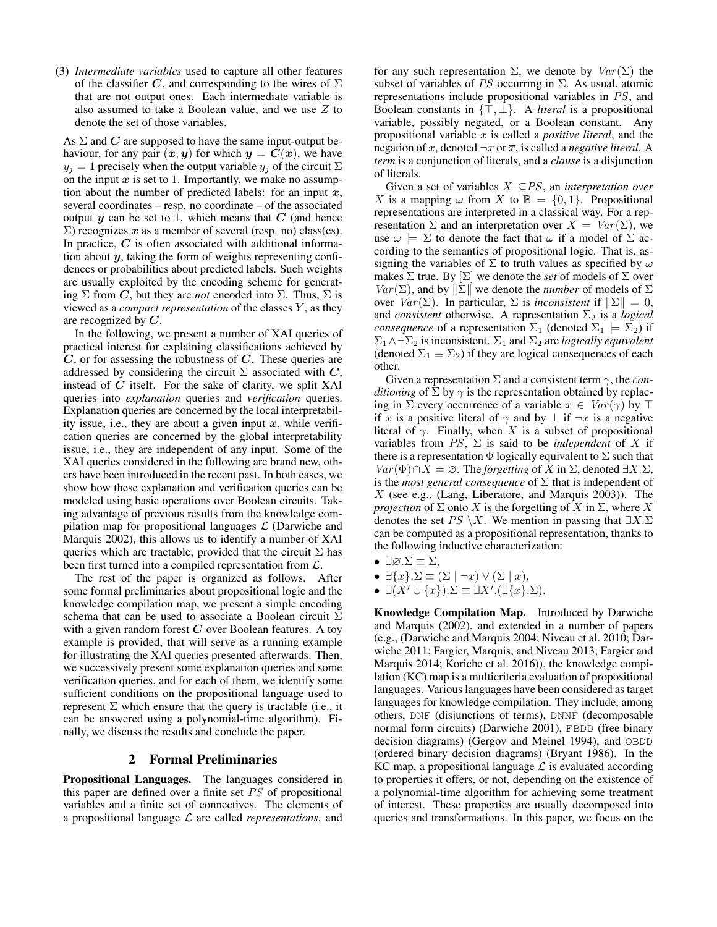(3) *Intermediate variables* used to capture all other features of the classifier C, and corresponding to the wires of  $\Sigma$ that are not output ones. Each intermediate variable is also assumed to take a Boolean value, and we use Z to denote the set of those variables.

As  $\Sigma$  and  $C$  are supposed to have the same input-output behaviour, for any pair  $(x, y)$  for which  $y = C(x)$ , we have  $y_i = 1$  precisely when the output variable  $y_i$  of the circuit  $\Sigma$ on the input  $x$  is set to 1. Importantly, we make no assumption about the number of predicted labels: for an input  $x$ , several coordinates – resp. no coordinate – of the associated output  $y$  can be set to 1, which means that  $C$  (and hence  $\Sigma$ ) recognizes x as a member of several (resp. no) class(es). In practice,  $C$  is often associated with additional information about  $y$ , taking the form of weights representing confidences or probabilities about predicted labels. Such weights are usually exploited by the encoding scheme for generating  $\Sigma$  from C, but they are *not* encoded into  $\Sigma$ . Thus,  $\Sigma$  is viewed as a *compact representation* of the classes Y , as they are recognized by C.

In the following, we present a number of XAI queries of practical interest for explaining classifications achieved by  $C$ , or for assessing the robustness of  $C$ . These queries are addressed by considering the circuit  $\Sigma$  associated with  $C$ , instead of  $C$  itself. For the sake of clarity, we split XAI queries into *explanation* queries and *verification* queries. Explanation queries are concerned by the local interpretability issue, i.e., they are about a given input  $x$ , while verification queries are concerned by the global interpretability issue, i.e., they are independent of any input. Some of the XAI queries considered in the following are brand new, others have been introduced in the recent past. In both cases, we show how these explanation and verification queries can be modeled using basic operations over Boolean circuits. Taking advantage of previous results from the knowledge compilation map for propositional languages  $\mathcal L$  (Darwiche and Marquis 2002), this allows us to identify a number of XAI queries which are tractable, provided that the circuit  $\Sigma$  has been first turned into a compiled representation from L.

The rest of the paper is organized as follows. After some formal preliminaries about propositional logic and the knowledge compilation map, we present a simple encoding schema that can be used to associate a Boolean circuit  $\Sigma$ with a given random forest  $C$  over Boolean features. A toy example is provided, that will serve as a running example for illustrating the XAI queries presented afterwards. Then, we successively present some explanation queries and some verification queries, and for each of them, we identify some sufficient conditions on the propositional language used to represent  $\Sigma$  which ensure that the query is tractable (i.e., it can be answered using a polynomial-time algorithm). Finally, we discuss the results and conclude the paper.

#### 2 Formal Preliminaries

Propositional Languages. The languages considered in this paper are defined over a finite set PS of propositional variables and a finite set of connectives. The elements of a propositional language L are called *representations*, and for any such representation  $\Sigma$ , we denote by  $Var(\Sigma)$  the subset of variables of PS occurring in  $\Sigma$ . As usual, atomic representations include propositional variables in PS, and Boolean constants in  $\{\bar{\top}, \bar{\bot}\}\$ . A *literal* is a propositional variable, possibly negated, or a Boolean constant. Any propositional variable x is called a *positive literal*, and the negation of x, denoted  $\neg x$  or  $\overline{x}$ , is called a *negative literal*. A *term* is a conjunction of literals, and a *clause* is a disjunction of literals.

Given a set of variables X ⊆PS, an *interpretation over* X is a mapping  $\omega$  from X to  $\mathbb{B} = \{0, 1\}$ . Propositional representations are interpreted in a classical way. For a representation  $\Sigma$  and an interpretation over  $X = Var(\Sigma)$ , we use  $\omega \models \Sigma$  to denote the fact that  $\omega$  if a model of  $\Sigma$  according to the semantics of propositional logic. That is, assigning the variables of  $\Sigma$  to truth values as specified by  $\omega$ makes  $\Sigma$  true. By  $[\Sigma]$  we denote the *set* of models of  $\Sigma$  over  $Var(\Sigma)$ , and by  $\|\Sigma\|$  we denote the *number* of models of  $\Sigma$ over  $Var(\Sigma)$ . In particular,  $\Sigma$  is *inconsistent* if  $\|\Sigma\| = 0$ , and *consistent* otherwise. A representation  $\Sigma_2$  is a *logical consequence* of a representation  $\Sigma_1$  (denoted  $\Sigma_1 \models \Sigma_2$ ) if  $\Sigma_1 \wedge \neg \Sigma_2$  is inconsistent.  $\Sigma_1$  and  $\Sigma_2$  are *logically equivalent* (denoted  $\Sigma_1 \equiv \Sigma_2$ ) if they are logical consequences of each other.

Given a representation  $\Sigma$  and a consistent term  $\gamma$ , the *conditioning* of  $\Sigma$  by  $\gamma$  is the representation obtained by replacing in  $\Sigma$  every occurrence of a variable  $x \in Var(\gamma)$  by  $\top$ if x is a positive literal of  $\gamma$  and by  $\bot$  if  $\neg x$  is a negative literal of  $\gamma$ . Finally, when X is a subset of propositional variables from  $PS$ ,  $\Sigma$  is said to be *independent* of X if there is a representation  $\Phi$  logically equivalent to  $\Sigma$  such that  $Var(\Phi) \cap X = \emptyset$ . The *forgetting* of X in  $\Sigma$ , denoted  $\exists X.\Sigma$ , is the *most general consequence* of  $\Sigma$  that is independent of  $X$  (see e.g., (Lang, Liberatore, and Marquis 2003)). The *projection* of  $\Sigma$  onto X is the forgetting of  $\overline{X}$  in  $\Sigma$ , where  $\overline{X}$ denotes the set  $PS \setminus X$ . We mention in passing that  $\exists X.\Sigma$ can be computed as a propositional representation, thanks to the following inductive characterization:

- $\exists \emptyset \cdot \Sigma \equiv \Sigma$ ,
- $\exists \{x\}.\Sigma \equiv (\Sigma \mid \neg x) \vee (\Sigma \mid x),$

• 
$$
\exists (X' \cup \{x\}).\Sigma \equiv \exists X'.(\exists \{x\}.\Sigma).
$$

Knowledge Compilation Map. Introduced by Darwiche and Marquis (2002), and extended in a number of papers (e.g., (Darwiche and Marquis 2004; Niveau et al. 2010; Darwiche 2011; Fargier, Marquis, and Niveau 2013; Fargier and Marquis 2014; Koriche et al. 2016)), the knowledge compilation (KC) map is a multicriteria evaluation of propositional languages. Various languages have been considered as target languages for knowledge compilation. They include, among others, DNF (disjunctions of terms), DNNF (decomposable normal form circuits) (Darwiche 2001), FBDD (free binary decision diagrams) (Gergov and Meinel 1994), and OBDD (ordered binary decision diagrams) (Bryant 1986). In the KC map, a propositional language  $\mathcal L$  is evaluated according to properties it offers, or not, depending on the existence of a polynomial-time algorithm for achieving some treatment of interest. These properties are usually decomposed into queries and transformations. In this paper, we focus on the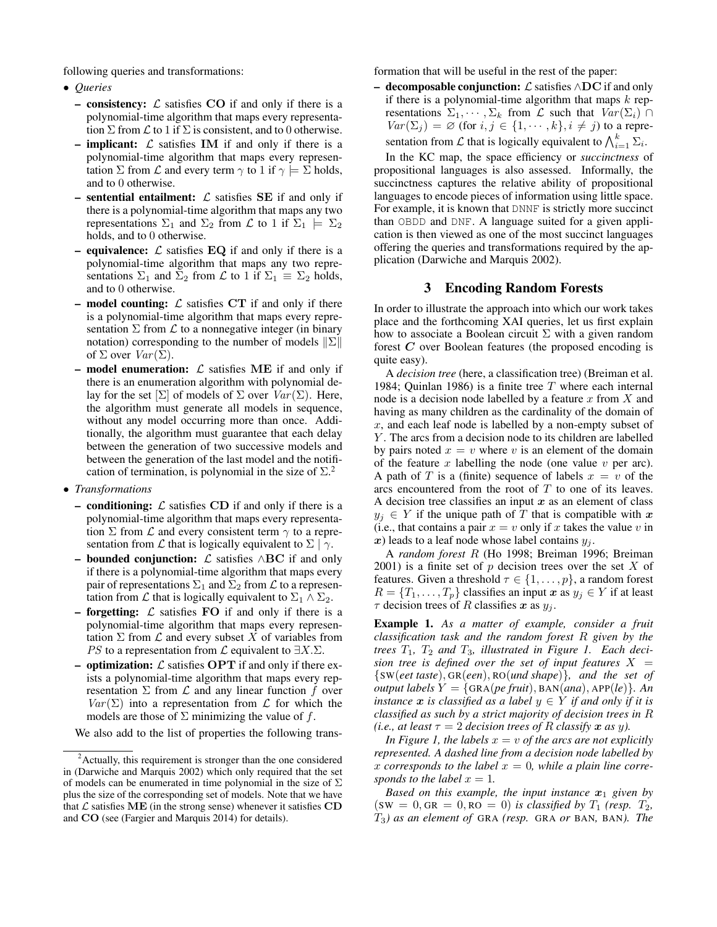following queries and transformations:

- *Queries*
	- consistency:  $\mathcal L$  satisfies CO if and only if there is a polynomial-time algorithm that maps every representation  $\Sigma$  from  $\mathcal L$  to 1 if  $\Sigma$  is consistent, and to 0 otherwise.
	- **implicant:**  $\mathcal{L}$  satisfies **IM** if and only if there is a polynomial-time algorithm that maps every representation  $\Sigma$  from  $\mathcal L$  and every term  $\gamma$  to 1 if  $\gamma \models \Sigma$  holds, and to 0 otherwise.
	- sentential entailment:  $\mathcal L$  satisfies SE if and only if there is a polynomial-time algorithm that maps any two representations  $\Sigma_1$  and  $\Sigma_2$  from  $\mathcal L$  to 1 if  $\Sigma_1 \models \Sigma_2$ holds, and to 0 otherwise.
	- equivalence:  $\mathcal L$  satisfies EQ if and only if there is a polynomial-time algorithm that maps any two representations  $\Sigma_1$  and  $\Sigma_2$  from  $\mathcal L$  to 1 if  $\Sigma_1 \equiv \Sigma_2$  holds, and to 0 otherwise.
	- model counting:  $\mathcal L$  satisfies CT if and only if there is a polynomial-time algorithm that maps every representation  $\Sigma$  from  $\mathcal L$  to a nonnegative integer (in binary notation) corresponding to the number of models  $\|\Sigma\|$ of  $\Sigma$  over  $Var(\Sigma)$ .
	- model enumeration:  $\mathcal{L}$  satisfies ME if and only if there is an enumeration algorithm with polynomial delay for the set  $[\Sigma]$  of models of  $\Sigma$  over  $Var(\Sigma)$ . Here, the algorithm must generate all models in sequence, without any model occurring more than once. Additionally, the algorithm must guarantee that each delay between the generation of two successive models and between the generation of the last model and the notification of termination, is polynomial in the size of  $\Sigma^2$ .
- *Transformations*
	- conditioning:  $\mathcal L$  satisfies CD if and only if there is a polynomial-time algorithm that maps every representation  $\Sigma$  from  $\mathcal L$  and every consistent term  $\gamma$  to a representation from  $\mathcal L$  that is logically equivalent to  $\Sigma | \gamma$ .
	- **bounded conjunction:**  $\mathcal{L}$  satisfies  $\wedge$ **BC** if and only if there is a polynomial-time algorithm that maps every pair of representations  $\Sigma_1$  and  $\Sigma_2$  from  $\mathcal L$  to a representation from  $\mathcal L$  that is logically equivalent to  $\Sigma_1 \wedge \Sigma_2$ .
	- forgetting:  $\mathcal L$  satisfies FO if and only if there is a polynomial-time algorithm that maps every representation  $\Sigma$  from  $\mathcal L$  and every subset X of variables from *PS* to a representation from  $\mathcal L$  equivalent to  $\exists X.\Sigma$ .
	- optimization:  $\mathcal L$  satisfies OPT if and only if there exists a polynomial-time algorithm that maps every representation  $\Sigma$  from  $\mathcal L$  and any linear function f over  $Var(\Sigma)$  into a representation from  $\mathcal L$  for which the models are those of  $\Sigma$  minimizing the value of f.

We also add to the list of properties the following trans-

formation that will be useful in the rest of the paper:

– decomposable conjunction:  $\mathcal L$  satisfies  $\wedge$ DC if and only if there is a polynomial-time algorithm that maps  $k$  representations  $\Sigma_1, \cdots, \Sigma_k$  from  $\mathcal L$  such that  $Var(\Sigma_i) \cap$  $Var(\Sigma_j) = \emptyset$  (for  $i, j \in \{1, \dots, k\}, i \neq j$ ) to a representation from  $\mathcal L$  that is logically equivalent to  $\bigwedge_{i=1}^k \Sigma_i$ .

In the KC map, the space efficiency or *succinctness* of propositional languages is also assessed. Informally, the succinctness captures the relative ability of propositional languages to encode pieces of information using little space. For example, it is known that DNNF is strictly more succinct than OBDD and DNF. A language suited for a given application is then viewed as one of the most succinct languages offering the queries and transformations required by the application (Darwiche and Marquis 2002).

#### 3 Encoding Random Forests

In order to illustrate the approach into which our work takes place and the forthcoming XAI queries, let us first explain how to associate a Boolean circuit  $\Sigma$  with a given random forest  $C$  over Boolean features (the proposed encoding is quite easy).

A *decision tree* (here, a classification tree) (Breiman et al. 1984; Quinlan 1986) is a finite tree  $T$  where each internal node is a decision node labelled by a feature  $x$  from  $X$  and having as many children as the cardinality of the domain of  $x$ , and each leaf node is labelled by a non-empty subset of Y. The arcs from a decision node to its children are labelled by pairs noted  $x = v$  where v is an element of the domain of the feature  $x$  labelling the node (one value  $v$  per arc). A path of T is a (finite) sequence of labels  $x = v$  of the arcs encountered from the root of  $T$  to one of its leaves. A decision tree classifies an input  $x$  as an element of class  $y_j \in Y$  if the unique path of T that is compatible with x (i.e., that contains a pair  $x = v$  only if x takes the value v in x) leads to a leaf node whose label contains  $y_i$ .

A *random forest* R (Ho 1998; Breiman 1996; Breiman 2001) is a finite set of  $p$  decision trees over the set  $X$  of features. Given a threshold  $\tau \in \{1, \ldots, p\}$ , a random forest  $R = \{T_1, \ldots, T_p\}$  classifies an input  $x$  as  $y_j \in Y$  if at least  $\tau$  decision trees of R classifies x as  $y_i$ .

Example 1. *As a matter of example, consider a fruit classification task and the random forest* R *given by the trees*  $T_1$ ,  $T_2$  *and*  $T_3$ *, illustrated in Figure 1. Each decision tree is defined over the set of input features*  $X =$ {SW(*eet taste*), GR(*een*), RO(*und shape*)}*, and the set of output labels*  $Y = \{ \text{GRA}(pe \text{ fruit}), \text{BAN}(ana), \text{APP}(le) \}.$  An *instance*  $x$  *is classified as a label*  $y \in Y$  *if and only if it is classified as such by a strict majority of decision trees in* R *(i.e., at least*  $\tau = 2$  *decision trees of* R *classify*  $x$  *as*  $y$ *).* 

*In Figure 1, the labels*  $x = v$  *of the arcs are not explicitly represented. A dashed line from a decision node labelled by* x corresponds to the label  $x = 0$ , while a plain line corre*sponds to the label*  $x = 1$ .

*Based on this example, the input instance*  $x_1$  *given by*  $(SW = 0, GR = 0, RO = 0)$  *is classified by*  $T_1$  *(resp.*  $T_2$ *,* T3*) as an element of* GRA *(resp.* GRA *or* BAN*,* BAN*). The*

 $2$ Actually, this requirement is stronger than the one considered in (Darwiche and Marquis 2002) which only required that the set of models can be enumerated in time polynomial in the size of  $\Sigma$ plus the size of the corresponding set of models. Note that we have that  $\mathcal L$  satisfies ME (in the strong sense) whenever it satisfies CD and CO (see (Fargier and Marquis 2014) for details).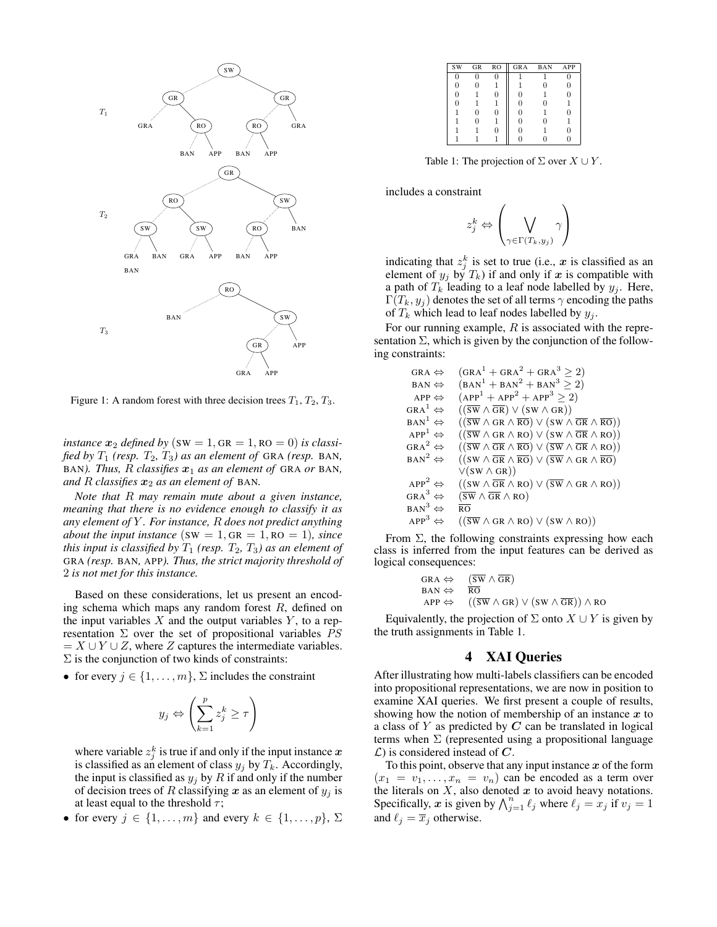

Figure 1: A random forest with three decision trees  $T_1, T_2, T_3$ .

*instance*  $x_2$  *defined by* (SW = 1, GR = 1, RO = 0) *is classified by*  $T_1$  *(resp.*  $T_2$ ,  $T_3$ *) as an element of* GRA *(resp.* BAN, BAN). Thus, R classifies  $x_1$  as an element of GRA or BAN, *and*  $R$  *classifies*  $x_2$  *as an element of* BAN.

*Note that* R *may remain mute about a given instance, meaning that there is no evidence enough to classify it as any element of* Y *. For instance,* R *does not predict anything about the input instance* (SW = 1, GR = 1, RO = 1)*, since this input is classified by*  $T_1$  *(resp.*  $T_2$ ,  $T_3$ *) as an element of* GRA *(resp.* BAN*,* APP*). Thus, the strict majority threshold of* 2 *is not met for this instance.*

Based on these considerations, let us present an encoding schema which maps any random forest  $R$ , defined on the input variables  $X$  and the output variables  $Y$ , to a representation  $\Sigma$  over the set of propositional variables PS  $= X \cup Y \cup Z$ , where Z captures the intermediate variables.  $\Sigma$  is the conjunction of two kinds of constraints:

• for every  $j \in \{1, \ldots, m\}$ ,  $\Sigma$  includes the constraint

$$
y_j \Leftrightarrow \left(\sum_{k=1}^p z_j^k \ge \tau\right)
$$

where variable  $z_j^k$  is true if and only if the input instance  $x$ is classified as an element of class  $y_j$  by  $T_k$ . Accordingly, the input is classified as  $y_j$  by R if and only if the number of decision trees of R classifying x as an element of  $y_j$  is at least equal to the threshold  $\tau$ ;

• for every  $j \in \{1, \ldots, m\}$  and every  $k \in \{1, \ldots, p\}, \Sigma$ 

| <b>SW</b> | GR | <b>RO</b> | GRA | <b>BAN</b> | APP |
|-----------|----|-----------|-----|------------|-----|
|           |    |           |     |            |     |
|           |    |           |     |            | 0   |
|           |    |           |     |            |     |
|           |    |           |     |            |     |
|           |    |           |     |            |     |
|           |    |           |     |            |     |
|           |    |           |     |            |     |
|           |    |           |     |            |     |

Table 1: The projection of  $\Sigma$  over  $X \cup Y$ .

includes a constraint

$$
z_j^k \Leftrightarrow \left(\bigvee_{\gamma \in \Gamma(T_k, y_j)} \gamma\right)
$$

indicating that  $z_j^k$  is set to true (i.e., x is classified as an element of  $y_j$  by  $T_k$ ) if and only if x is compatible with a path of  $T_k$  leading to a leaf node labelled by  $y_j$ . Here,  $\Gamma(T_k, y_j)$  denotes the set of all terms  $\gamma$  encoding the paths of  $T_k$  which lead to leaf nodes labelled by  $y_j$ .

For our running example,  $R$  is associated with the representation  $\Sigma$ , which is given by the conjunction of the following constraints:

> $GRA \Leftrightarrow$   $(GRA^1 + GRA^2 + GRA^3 \geq 2)$  $BAN \Leftrightarrow$   $(BAN^1 + BAN^2 + BAN^3 \geq 2)$ APP  $\Leftrightarrow$   $(\text{APP}^1 + \text{APP}^2 + \text{APP}^3 \geq 2)$  $GRA^1 \Leftrightarrow ((\overline{SW} \wedge \overline{GR}) \vee (SW \wedge GR))$ <br>  $BAN^1 \Leftrightarrow ((\overline{SW} \wedge GR \wedge \overline{RO}) \vee (SW \wedge$  $\begin{array}{ccc} \hbox{BAN}^1 \Leftrightarrow & \hbox{((\overline{SW} \land \text{GR} \land \overline{RO}) \lor (\text{SW} \land \overline{GR} \land \overline{RO})) \\ \hbox{APP}^1 \Leftrightarrow & \hbox{((\overline{SW} \land \text{GR} \land \text{RO}) \lor (\text{SW} \land \overline{GR} \land \text{RO})) \end{array}$  $AP<sup>1</sup> \Leftrightarrow ((\overline{SW} \wedge GR \wedge RO) \vee (SW \wedge \overline{GR} \wedge RO))$ <br>  $GRA<sup>2</sup> \Leftrightarrow ((\overline{SW} \wedge \overline{GR} \wedge \overline{RO}) \vee (\overline{SW} \wedge \overline{GR} \wedge RO))$  $GRA^2 \Leftrightarrow$   $((\overline{SW} \wedge \overline{GR} \wedge \overline{RO}) \vee (\overline{SW} \wedge \overline{GR} \wedge \overline{RO}))$ <br>  $BAN^2 \Leftrightarrow$   $((SW \wedge \overline{GR} \wedge \overline{RO}) \vee (\overline{SW} \wedge \overline{GR} \wedge \overline{RO}))$  $\overline{(\text{SW} \land \overline{\text{GR}} \land \overline{\text{RO}})} \lor (\overline{\text{SW}} \land \text{GR} \land \overline{\text{RO}})$  $\vee$ (SW  $\wedge$  GR))  $\begin{array}{ccc} \n\text{APP}^2 \Leftrightarrow & \big( (\text{SW} \wedge \overline{\text{GR}} \wedge \text{RO}) \vee (\overline{\text{SW}} \wedge \text{GR} \wedge \text{RO}) \big) \\ \n\text{GRA}^3 \Leftrightarrow & (\overline{\text{SW}} \wedge \overline{\text{GR}} \wedge \text{RO}) \n\end{array}$  $(\overline{sw} \wedge \overline{GR} \wedge RO)$  $BAN^3 \Leftrightarrow \quad \overline{RO}$ <br>APP<sup>3</sup> $\Leftrightarrow \quad ((\overline{S})^2)$  $((\overline{sw} \wedge \overline{GR} \wedge \overline{RO}) \vee (sw \wedge \overline{RO}))$

From  $\Sigma$ , the following constraints expressing how each class is inferred from the input features can be derived as logical consequences:

$$
\begin{array}{ll}\nGRA & \Leftrightarrow & (\overline{SW} \wedge \overline{GR}) \\
BAN & \Leftrightarrow & \overline{RO} \\
APP & \Leftrightarrow & ((\overline{SW} \wedge GR) \vee (SW \wedge \overline{GR})) \wedge RO\n\end{array}
$$

Equivalently, the projection of  $\Sigma$  onto  $X \cup Y$  is given by the truth assignments in Table 1.

### 4 XAI Queries

After illustrating how multi-labels classifiers can be encoded into propositional representations, we are now in position to examine XAI queries. We first present a couple of results, showing how the notion of membership of an instance  $x$  to a class of  $Y$  as predicted by  $C$  can be translated in logical terms when  $\Sigma$  (represented using a propositional language  $L$ ) is considered instead of  $C$ .

To this point, observe that any input instance  $x$  of the form  $(x_1 = v_1, \ldots, x_n = v_n)$  can be encoded as a term over the literals on  $X$ , also denoted  $x$  to avoid heavy notations. Specifically, x is given by  $\bigwedge_{j=1}^{n} \ell_j$  where  $\ell_j = x_j$  if  $v_j = 1$ and  $\ell_i = \overline{x}_i$  otherwise.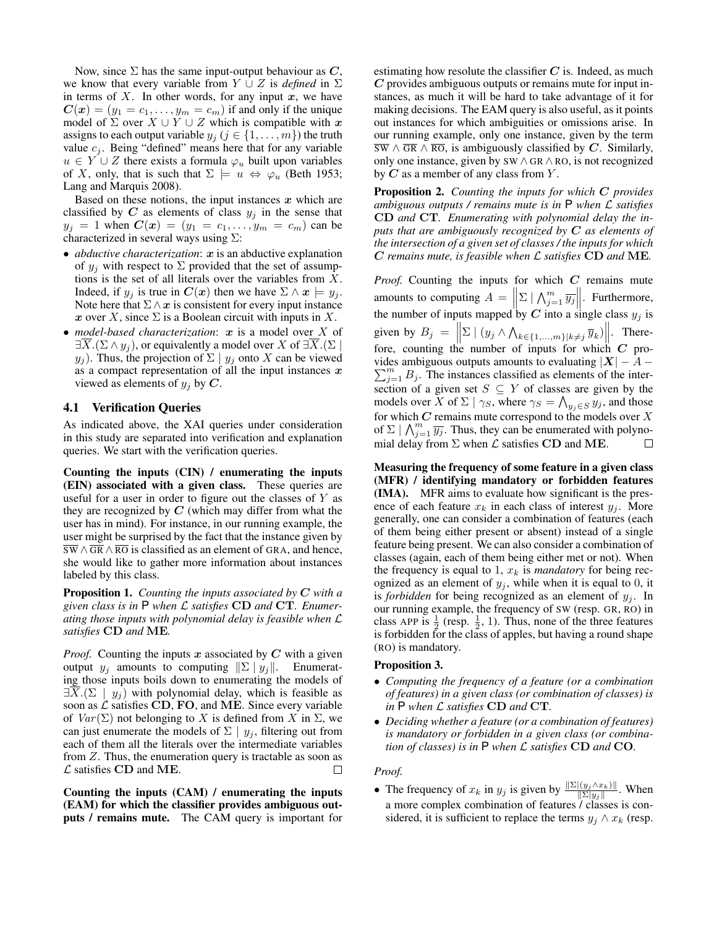Now, since  $\Sigma$  has the same input-output behaviour as  $C$ , we know that every variable from  $Y \cup Z$  is *defined* in  $\Sigma$ in terms of  $X$ . In other words, for any input  $x$ , we have  $\mathbf{C}(\mathbf{x}) = (y_1 = c_1, \dots, y_m = c_m)$  if and only if the unique model of  $\Sigma$  over  $X \cup Y \cup Z$  which is compatible with x assigns to each output variable  $y_j$  ( $j \in \{1, \ldots, m\}$ ) the truth value  $c_j$ . Being "defined" means here that for any variable  $u \in Y \cup Z$  there exists a formula  $\varphi_u$  built upon variables of X, only, that is such that  $\Sigma \models u \Leftrightarrow \varphi_u$  (Beth 1953; Lang and Marquis 2008).

Based on these notions, the input instances  $x$  which are classified by C as elements of class  $y_j$  in the sense that  $y_j = 1$  when  $C(x) = (y_1 = c_1, \ldots, y_m = c_m)$  can be characterized in several ways using  $\Sigma$ :

- *abductive characterization*: x is an abductive explanation of  $y_i$  with respect to  $\Sigma$  provided that the set of assumptions is the set of all literals over the variables from X. Indeed, if  $y_i$  is true in  $C(x)$  then we have  $\Sigma \wedge x \models y_i$ . Note here that  $\Sigma \wedge x$  is consistent for every input instance x over X, since  $\Sigma$  is a Boolean circuit with inputs in X.
- *model-based characterization*: x is a model over X of  $\exists X.(\Sigma \wedge y_i)$ , or equivalently a model over X of  $\exists X.(\Sigma \wedge y_i)$  $y_j$ ). Thus, the projection of  $\Sigma | y_j$  onto X can be viewed as a compact representation of all the input instances  $x$ viewed as elements of  $y_i$  by C.

#### 4.1 Verification Queries

As indicated above, the XAI queries under consideration in this study are separated into verification and explanation queries. We start with the verification queries.

Counting the inputs (CIN) / enumerating the inputs (EIN) associated with a given class. These queries are useful for a user in order to figure out the classes of  $Y$  as they are recognized by  $C$  (which may differ from what the user has in mind). For instance, in our running example, the user might be surprised by the fact that the instance given by  $\overline{SW} \wedge \overline{GR} \wedge \overline{RO}$  is classified as an element of GRA, and hence, she would like to gather more information about instances labeled by this class.

Proposition 1. *Counting the inputs associated by* C *with a given class is in* P *when* L *satisfies* CD *and* CT*. Enumerating those inputs with polynomial delay is feasible when* L *satisfies* CD *and* ME*.*

*Proof.* Counting the inputs  $x$  associated by  $C$  with a given output  $y_j$  amounts to computing  $\|\Sigma \| y_j\|$ . Enumerating those inputs boils down to enumerating the models of  $\exists X.(\Sigma \mid y_i)$  with polynomial delay, which is feasible as soon as  $\mathcal L$  satisfies CD, FO, and ME. Since every variable of  $Var(\Sigma)$  not belonging to X is defined from X in  $\Sigma$ , we can just enumerate the models of  $\Sigma | y_i$ , filtering out from each of them all the literals over the intermediate variables from Z. Thus, the enumeration query is tractable as soon as  $\mathcal L$  satisfies CD and ME.  $\Box$ 

Counting the inputs (CAM) / enumerating the inputs (EAM) for which the classifier provides ambiguous outputs / remains mute. The CAM query is important for estimating how resolute the classifier  $C$  is. Indeed, as much  $C$  provides ambiguous outputs or remains mute for input instances, as much it will be hard to take advantage of it for making decisions. The EAM query is also useful, as it points out instances for which ambiguities or omissions arise. In our running example, only one instance, given by the term  $\overline{SW} \wedge \overline{GR} \wedge \overline{RO}$ , is ambiguously classified by C. Similarly, only one instance, given by SW ∧ GR ∧ RO, is not recognized by  $C$  as a member of any class from  $Y$ .

Proposition 2. *Counting the inputs for which* C *provides ambiguous outputs / remains mute is in* P *when* L *satisfies* CD *and* CT*. Enumerating with polynomial delay the inputs that are ambiguously recognized by* C *as elements of the intersection of a given set of classes / the inputs for which* C *remains mute, is feasible when* L *satisfies* CD *and* ME*.*

Proof. Counting the inputs for which C remains mute amounts to computing  $A = \left\| \Sigma \mid \bigwedge_{j=1}^{m} \overline{y_j} \right\|$ . Furthermore, the number of inputs mapped by C into a single class  $y_j$  is given by  $B_j = \left\| \sum \mid (y_j \wedge \bigwedge_{k \in \{1, ..., m\}} | k \neq j \overline{y}_k) \right\|.$  Therefore, counting the number of inputs for which  $C$  provides ambiguous outputs amounts to evaluating  $|X| - A$  –  $\sum_{j=1}^{m} B_j$ . The instances classified as elements of the intersection of a given set  $S \subseteq Y$  of classes are given by the models over X of  $\Sigma \mid \gamma_S$ , where  $\gamma_S = \bigwedge_{y_j \in S} y_j$ , and those for which  $C$  remains mute correspond to the models over  $X$ of  $\Sigma \mid \bigwedge_{j=1}^{m} \overline{y_j}$ . Thus, they can be enumerated with polynomial delay from  $\Sigma$  when  $\mathcal L$  satisfies CD and ME.  $\Box$ 

Measuring the frequency of some feature in a given class (MFR) / identifying mandatory or forbidden features (IMA). MFR aims to evaluate how significant is the presence of each feature  $x_k$  in each class of interest  $y_i$ . More generally, one can consider a combination of features (each of them being either present or absent) instead of a single feature being present. We can also consider a combination of classes (again, each of them being either met or not). When the frequency is equal to 1,  $x_k$  is *mandatory* for being recognized as an element of  $y_i$ , while when it is equal to 0, it is *forbidden* for being recognized as an element of  $y_i$ . In our running example, the frequency of SW (resp. GR, RO) in class APP is  $\frac{1}{2}$  (resp.  $\frac{1}{2}$ , 1). Thus, none of the three features is forbidden for the class of apples, but having a round shape (RO) is mandatory.

#### Proposition 3.

- *Computing the frequency of a feature (or a combination of features) in a given class (or combination of classes) is in* P *when* L *satisfies* CD *and* CT*.*
- *Deciding whether a feature (or a combination of features) is mandatory or forbidden in a given class (or combination of classes) is in* P *when* L *satisfies* CD *and* CO*.*

#### *Proof.*

• The frequency of  $x_k$  in  $y_j$  is given by  $\frac{\|\Sigma|(y_j \wedge x_k)\|}{\|\Sigma|y_j\|}$ . When a more complex combination of features / classes is considered, it is sufficient to replace the terms  $y_i \wedge x_k$  (resp.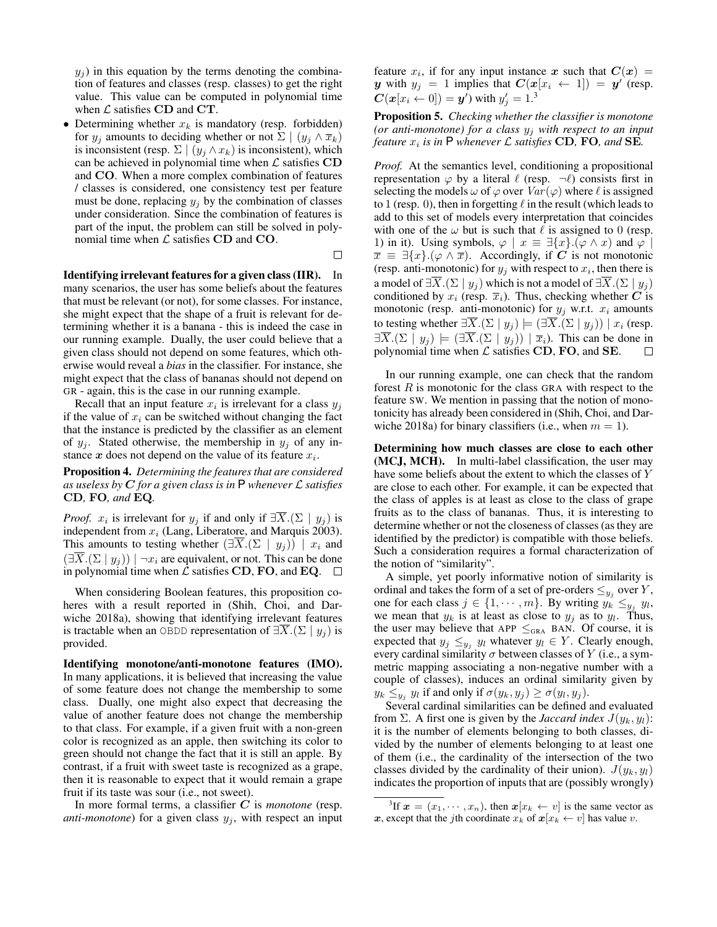$y_i$ ) in this equation by the terms denoting the combination of features and classes (resp. classes) to get the right value. This value can be computed in polynomial time when  $\mathcal L$  satisfies CD and CT.

• Determining whether  $x_k$  is mandatory (resp. forbidden) for  $y_j$  amounts to deciding whether or not  $\Sigma \mid (y_j \wedge \overline{x}_k)$ is inconsistent (resp.  $\Sigma | (y_j \wedge x_k)$  is inconsistent), which can be achieved in polynomial time when  $\mathcal L$  satisfies  $CD$ and CO. When a more complex combination of features / classes is considered, one consistency test per feature must be done, replacing  $y_i$  by the combination of classes under consideration. Since the combination of features is part of the input, the problem can still be solved in polynomial time when  $\mathcal L$  satisfies CD and CO.

 $\Box$ 

Identifying irrelevant features for a given class (IIR). In many scenarios, the user has some beliefs about the features that must be relevant (or not), for some classes. For instance, she might expect that the shape of a fruit is relevant for determining whether it is a banana - this is indeed the case in our running example. Dually, the user could believe that a given class should not depend on some features, which otherwise would reveal a *bias* in the classifier. For instance, she might expect that the class of bananas should not depend on GR - again, this is the case in our running example.

Recall that an input feature  $x_i$  is irrelevant for a class  $y_j$ if the value of  $x_i$  can be switched without changing the fact that the instance is predicted by the classifier as an element of  $y_j$ . Stated otherwise, the membership in  $y_j$  of any instance  $x$  does not depend on the value of its feature  $x_i$ .

Proposition 4. *Determining the features that are considered as useless by* C *for a given class is in* P *whenever* L *satisfies* CD*,* FO*, and* EQ*.*

*Proof.*  $x_i$  is irrelevant for  $y_j$  if and only if  $\exists X.(\Sigma \mid y_j)$  is independent from  $x_i$  (Lang, Liberatore, and Marquis 2003). This amounts to testing whether  $(\exists \overline{X}.(\Sigma \mid y_j)) \mid x_i$  and  $(\exists \overline{X}.(\Sigma \mid y_i)) | \neg x_i$  are equivalent, or not. This can be done in polynomial time when  $\mathcal L$  satisfies CD, FO, and EQ.  $\Box$ 

When considering Boolean features, this proposition coheres with a result reported in (Shih, Choi, and Darwiche 2018a), showing that identifying irrelevant features is tractable when an OBDD representation of  $\exists \overline{X}.(\Sigma \mid y_i)$  is provided.

Identifying monotone/anti-monotone features (IMO). In many applications, it is believed that increasing the value of some feature does not change the membership to some class. Dually, one might also expect that decreasing the value of another feature does not change the membership to that class. For example, if a given fruit with a non-green color is recognized as an apple, then switching its color to green should not change the fact that it is still an apple. By contrast, if a fruit with sweet taste is recognized as a grape, then it is reasonable to expect that it would remain a grape fruit if its taste was sour (i.e., not sweet).

In more formal terms, a classifier C is *monotone* (resp. *anti-monotone*) for a given class  $y_i$ , with respect an input feature  $x_i$ , if for any input instance x such that  $C(x) =$ y with  $y_j = 1$  implies that  $C(x[x_i \leftarrow 1]) = y'$  (resp.  $\boldsymbol{C}(\boldsymbol{x}[\boldsymbol{x}_i \leftarrow 0]) = \boldsymbol{y}')$  with  $y'_j = 1.^3$ 

Proposition 5. *Checking whether the classifier is monotone (or anti-monotone) for a class*  $y_j$  *with respect to an input feature*  $x_i$  *is in*  $P$  *whenever*  $\mathcal L$  *satisfies* CD, FO, and SE.

*Proof.* At the semantics level, conditioning a propositional representation  $\varphi$  by a literal  $\ell$  (resp.  $\neg \ell$ ) consists first in selecting the models  $\omega$  of  $\varphi$  over  $Var(\varphi)$  where  $\ell$  is assigned to 1 (resp. 0), then in forgetting  $\ell$  in the result (which leads to add to this set of models every interpretation that coincides with one of the  $\omega$  but is such that  $\ell$  is assigned to 0 (resp. 1) in it). Using symbols,  $\varphi \mid x \equiv \exists \{x\}.(\varphi \wedge x)$  and  $\varphi \mid$  $\overline{x} \equiv \exists \{x\}.(\varphi \wedge \overline{x})$ . Accordingly, if C is not monotonic (resp. anti-monotonic) for  $y_j$  with respect to  $x_i$ , then there is a model of  $\exists \overline{X}.(\Sigma \mid y_i)$  which is not a model of  $\exists \overline{X}.(\Sigma \mid y_i)$ conditioned by  $x_i$  (resp.  $\overline{x}_i$ ). Thus, checking whether C is monotonic (resp. anti-monotonic) for  $y_j$  w.r.t.  $x_i$  amounts to testing whether  $\exists \overline{X}.(\Sigma \mid y_i) \models (\exists \overline{X}.(\Sigma \mid y_i)) \mid x_i$  (resp.  $\exists \overline{X}.(\Sigma | y_i) \models (\exists \overline{X}.(\Sigma | y_i)) | \overline{x}_i$ . This can be done in polynomial time when  $\mathcal L$  satisfies CD, FO, and SE.  $\Box$ 

In our running example, one can check that the random forest  $R$  is monotonic for the class GRA with respect to the feature SW. We mention in passing that the notion of monotonicity has already been considered in (Shih, Choi, and Darwiche 2018a) for binary classifiers (i.e., when  $m = 1$ ).

Determining how much classes are close to each other (MCJ, MCH). In multi-label classification, the user may have some beliefs about the extent to which the classes of Y are close to each other. For example, it can be expected that the class of apples is at least as close to the class of grape fruits as to the class of bananas. Thus, it is interesting to determine whether or not the closeness of classes (as they are identified by the predictor) is compatible with those beliefs. Such a consideration requires a formal characterization of the notion of "similarity".

A simple, yet poorly informative notion of similarity is ordinal and takes the form of a set of pre-orders  $\leq_{y_j}$  over Y, one for each class  $j \in \{1, \dots, m\}$ . By writing  $y_k \leq y_j y_l$ , we mean that  $y_k$  is at least as close to  $y_j$  as to  $y_l$ . Thus, the user may believe that APP  $\leq_{\text{GRA}}$  BAN. Of course, it is expected that  $y_j \leq y_j$   $y_l$  whatever  $y_l \in Y$ . Clearly enough, every cardinal similarity  $\sigma$  between classes of Y (i.e., a symmetric mapping associating a non-negative number with a couple of classes), induces an ordinal similarity given by  $y_k \leq_{y_j} y_l$  if and only if  $\sigma(y_k, y_j) \geq \sigma(y_l, y_j)$ .

Several cardinal similarities can be defined and evaluated from  $\Sigma$ . A first one is given by the *Jaccard index*  $J(y_k, y_l)$ : it is the number of elements belonging to both classes, divided by the number of elements belonging to at least one of them (i.e., the cardinality of the intersection of the two classes divided by the cardinality of their union).  $J(y_k, y_l)$ indicates the proportion of inputs that are (possibly wrongly)

<sup>&</sup>lt;sup>3</sup>If  $\mathbf{x} = (x_1, \dots, x_n)$ , then  $\mathbf{x}[x_k \leftarrow v]$  is the same vector as x, except that the jth coordinate  $x_k$  of  $x[x_k \leftarrow v]$  has value v.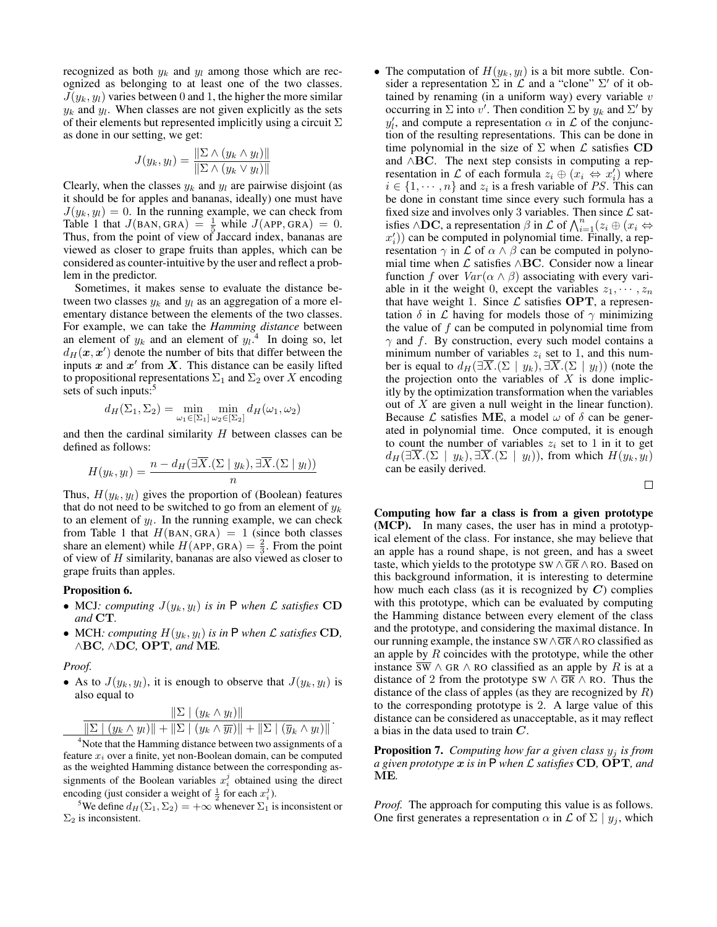recognized as both  $y_k$  and  $y_l$  among those which are recognized as belonging to at least one of the two classes.  $J(y_k, y_l)$  varies between 0 and 1, the higher the more similar  $y_k$  and  $y_l$ . When classes are not given explicitly as the sets of their elements but represented implicitly using a circuit  $\Sigma$ as done in our setting, we get:

$$
J(y_k, y_l) = \frac{\|\Sigma \wedge (y_k \wedge y_l)\|}{\|\Sigma \wedge (y_k \vee y_l)\|}
$$

Clearly, when the classes  $y_k$  and  $y_l$  are pairwise disjoint (as it should be for apples and bananas, ideally) one must have  $J(y_k, y_l) = 0$ . In the running example, we can check from Table 1 that  $J(BAN, GRA) = \frac{1}{5}$  while  $J(APP,GRA) = 0$ . Thus, from the point of view of Jaccard index, bananas are viewed as closer to grape fruits than apples, which can be considered as counter-intuitive by the user and reflect a problem in the predictor.

Sometimes, it makes sense to evaluate the distance between two classes  $y_k$  and  $y_l$  as an aggregation of a more elementary distance between the elements of the two classes. For example, we can take the *Hamming distance* between an element of  $y_k$  and an element of  $y_k$ <sup>4</sup>. In doing so, let  $d_H(\mathbf{x}, \mathbf{x}')$  denote the number of bits that differ between the inputs  $x$  and  $x'$  from  $X$ . This distance can be easily lifted to propositional representations  $\Sigma_1$  and  $\Sigma_2$  over X encoding sets of such inputs:<sup>5</sup>

$$
d_H(\Sigma_1, \Sigma_2) = \min_{\omega_1 \in [\Sigma_1]} \min_{\omega_2 \in [\Sigma_2]} d_H(\omega_1, \omega_2)
$$

and then the cardinal similarity H between classes can be defined as follows:

$$
H(y_k, y_l) = \frac{n - d_H(\exists \overline{X}.(\Sigma \mid y_k), \exists \overline{X}.(\Sigma \mid y_l))}{n}
$$

Thus,  $H(y_k, y_l)$  gives the proportion of (Boolean) features that do not need to be switched to go from an element of  $y_k$ to an element of  $y_l$ . In the running example, we can check from Table 1 that  $H(BAN, GRA) = 1$  (since both classes share an element) while  $H(APP, GRA) = \frac{2}{3}$ . From the point of view of  $H$  similarity, bananas are also viewed as closer to grape fruits than apples.

#### Proposition 6.

- MCJ*: computing*  $J(y_k, y_l)$  *is in* P *when*  $\mathcal L$  *satisfies* CD *and* CT*.*
- MCH: computing  $H(y_k, y_l)$  is in  $P$  when  $\mathcal L$  satisfies CD, ∧BC*,* ∧DC*,* OPT*, and* ME*.*

#### *Proof.*

• As to  $J(y_k, y_l)$ , it is enough to observe that  $J(y_k, y_l)$  is also equal to

$$
\frac{\|\Sigma|(y_k \wedge y_l)\|}{\|\Sigma|(y_k \wedge y_l)\| + \|\Sigma|(y_k \wedge \overline{y_l})\| + \|\Sigma|(\overline{y}_k \wedge y_l)\|}.
$$

<sup>4</sup>Note that the Hamming distance between two assignments of a feature  $x_i$  over a finite, yet non-Boolean domain, can be computed as the weighted Hamming distance between the corresponding assignments of the Boolean variables  $x_i^j$  obtained using the direct encoding (just consider a weight of  $\frac{1}{2}$  for each  $x_i^j$ ).

<sup>5</sup>We define  $d_H(\Sigma_1, \Sigma_2) = +\infty$  whenever  $\Sigma_1$  is inconsistent or  $\Sigma_2$  is inconsistent.

• The computation of  $H(y_k, y_l)$  is a bit more subtle. Consider a representation  $\sum$  in  $\mathcal L$  and a "clone"  $\Sigma'$  of it obtained by renaming (in a uniform way) every variable  $v$ occurring in  $\Sigma$  into  $v'$ . Then condition  $\Sigma$  by  $y_k$  and  $\Sigma'$  by  $y'_l$ , and compute a representation  $\alpha$  in  $\mathcal L$  of the conjunction of the resulting representations. This can be done in time polynomial in the size of  $\Sigma$  when  $\mathcal L$  satisfies CD and ∧BC. The next step consists in computing a representation in  $\mathcal L$  of each formula  $z_i \oplus (x_i \leftrightarrow x'_i)$  where  $i \in \{1, \dots, n\}$  and  $z_i$  is a fresh variable of PS. This can be done in constant time since every such formula has a fixed size and involves only 3 variables. Then since  $\mathcal L$  satisfies  $\wedge$ **DC**, a representation  $\beta$  in  $\mathcal L$  of  $\bigwedge_{i=1}^n (z_i \oplus (x_i \Leftrightarrow$  $x'_{i}$ )) can be computed in polynomial time. Finally, a representation  $\gamma$  in  $\mathcal L$  of  $\alpha \wedge \beta$  can be computed in polynomial time when  $\mathcal L$  satisfies ∧BC. Consider now a linear function f over  $Var(\alpha \wedge \beta)$  associating with every variable in it the weight 0, except the variables  $z_1, \dots, z_n$ that have weight 1. Since  $\mathcal L$  satisfies OPT, a representation  $\delta$  in  $\mathcal L$  having for models those of  $\gamma$  minimizing the value of  $f$  can be computed in polynomial time from  $\gamma$  and f. By construction, every such model contains a minimum number of variables  $z_i$  set to 1, and this number is equal to  $d_H(\exists \overline{X}.(\Sigma \mid y_k), \exists \overline{X}.(\Sigma \mid y_l))$  (note the the projection onto the variables of  $X$  is done implicitly by the optimization transformation when the variables out of  $X$  are given a null weight in the linear function). Because  $\mathcal L$  satisfies ME, a model  $\omega$  of  $\delta$  can be generated in polynomial time. Once computed, it is enough to count the number of variables  $z_i$  set to 1 in it to get  $d_H(\exists \overline{X}.(\Sigma \mid y_k), \exists \overline{X}.(\Sigma \mid y_l)),$  from which  $H(y_k, y_l)$ can be easily derived.

 $\Box$ 

Computing how far a class is from a given prototype (MCP). In many cases, the user has in mind a prototypical element of the class. For instance, she may believe that an apple has a round shape, is not green, and has a sweet taste, which yields to the prototype SW  $\land$  GR  $\land$  RO. Based on this background information, it is interesting to determine how much each class (as it is recognized by  $C$ ) complies with this prototype, which can be evaluated by computing the Hamming distance between every element of the class and the prototype, and considering the maximal distance. In our running example, the instance  $SW \wedge \overline{GR} \wedge RO$  classified as an apple by R coincides with the prototype, while the other instance  $\overline{sw} \wedge \overline{GR} \wedge \overline{RO}$  classified as an apple by R is at a distance of 2 from the prototype SW  $\land$  GR  $\land$  RO. Thus the distance of the class of apples (as they are recognized by  $R$ ) to the corresponding prototype is 2. A large value of this distance can be considered as unacceptable, as it may reflect a bias in the data used to train C.

Proposition 7. *Computing how far a given class* y<sup>j</sup> *is from a given prototype* x *is in* P *when* L *satisfies* CD*,* OPT*, and* ME*.*

*Proof.* The approach for computing this value is as follows. One first generates a representation  $\alpha$  in  $\mathcal L$  of  $\Sigma \mid y_j$ , which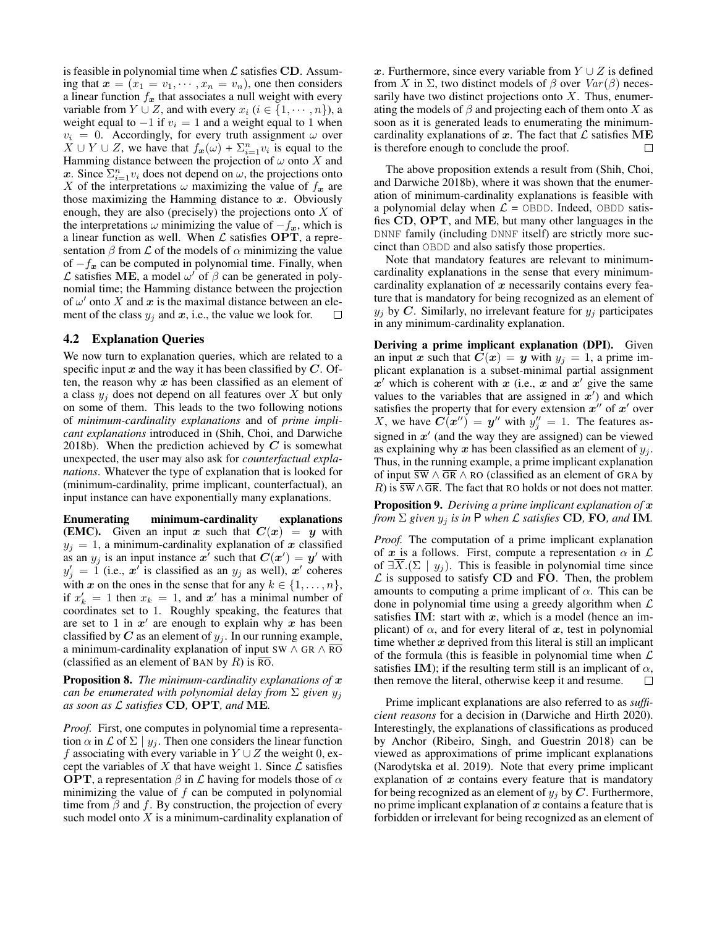is feasible in polynomial time when  $\mathcal L$  satisfies CD. Assuming that  $x = (x_1 = v_1, \dots, x_n = v_n)$ , one then considers a linear function  $f_x$  that associates a null weight with every variable from  $Y \cup Z$ , and with every  $x_i$   $(i \in \{1, \dots, n\})$ , a weight equal to  $-1$  if  $v_i = 1$  and a weight equal to 1 when  $v_i = 0$ . Accordingly, for every truth assignment  $\omega$  over  $X \cup Y \cup Z$ , we have that  $f_{\boldsymbol{x}}(\omega) + \sum_{i=1}^n v_i$  is equal to the Hamming distance between the projection of  $\omega$  onto X and x. Since  $\sum_{i=1}^{n} v_i$  does not depend on  $\omega$ , the projections onto X of the interpretations  $\omega$  maximizing the value of  $f_x$  are those maximizing the Hamming distance to  $x$ . Obviously enough, they are also (precisely) the projections onto  $X$  of the interpretations  $\omega$  minimizing the value of  $-f_x$ , which is a linear function as well. When  $\mathcal L$  satisfies OPT, a representation  $\beta$  from  $\mathcal L$  of the models of  $\alpha$  minimizing the value of  $-f_x$  can be computed in polynomial time. Finally, when  $\mathcal L$  satisfies ME, a model  $\omega'$  of  $\beta$  can be generated in polynomial time; the Hamming distance between the projection of  $\omega'$  onto X and x is the maximal distance between an element of the class  $y_j$  and  $x$ , i.e., the value we look for.  $\Box$ 

#### 4.2 Explanation Queries

We now turn to explanation queries, which are related to a specific input x and the way it has been classified by  $C$ . Often, the reason why  $x$  has been classified as an element of a class  $y_i$  does not depend on all features over X but only on some of them. This leads to the two following notions of *minimum-cardinality explanations* and of *prime implicant explanations* introduced in (Shih, Choi, and Darwiche 2018b). When the prediction achieved by  $C$  is somewhat unexpected, the user may also ask for *counterfactual explanations*. Whatever the type of explanation that is looked for (minimum-cardinality, prime implicant, counterfactual), an input instance can have exponentially many explanations.

Enumerating minimum-cardinality explanations (EMC). Given an input x such that  $C(x) = y$  with  $y_j = 1$ , a minimum-cardinality explanation of x classified as an  $y_j$  is an input instance  $x^j$  such that  $C(x^j) = y^j$  with  $y'_j = 1$  (i.e.,  $x'^i$  is classified as an  $y_j$  as well),  $x'$  coheres with x on the ones in the sense that for any  $k \in \{1, \ldots, n\}$ , if  $x'_k = 1$  then  $x_k = 1$ , and  $x'$  has a minimal number of coordinates set to 1. Roughly speaking, the features that are set to 1 in  $x'$  are enough to explain why x has been classified by  $C$  as an element of  $y_j$ . In our running example, a minimum-cardinality explanation of input SW  $\land$  GR  $\land$   $\overline{RO}$ (classified as an element of BAN by R) is  $\overline{RO}$ .

Proposition 8. *The minimum-cardinality explanations of* x *can be enumerated with polynomial delay from* Σ *given* y<sup>j</sup> *as soon as* L *satisfies* CD*,* OPT*, and* ME*.*

*Proof.* First, one computes in polynomial time a representation  $\alpha$  in  $\mathcal L$  of  $\Sigma \mid y_i$ . Then one considers the linear function f associating with every variable in  $Y \cup Z$  the weight 0, except the variables of X that have weight 1. Since  $\mathcal L$  satisfies **OPT**, a representation  $\beta$  in  $\mathcal L$  having for models those of  $\alpha$ minimizing the value of  $f$  can be computed in polynomial time from  $\beta$  and  $f$ . By construction, the projection of every such model onto  $X$  is a minimum-cardinality explanation of x. Furthermore, since every variable from  $Y \cup Z$  is defined from X in  $\Sigma$ , two distinct models of  $\beta$  over  $Var(\beta)$  necessarily have two distinct projections onto  $X$ . Thus, enumerating the models of  $\beta$  and projecting each of them onto X as soon as it is generated leads to enumerating the minimumcardinality explanations of x. The fact that  $\mathcal L$  satisfies ME is therefore enough to conclude the proof. П

The above proposition extends a result from (Shih, Choi, and Darwiche 2018b), where it was shown that the enumeration of minimum-cardinality explanations is feasible with a polynomial delay when  $\mathcal{L} =$  OBDD. Indeed, OBDD satisfies CD, OPT, and ME, but many other languages in the DNNF family (including DNNF itself) are strictly more succinct than OBDD and also satisfy those properties.

Note that mandatory features are relevant to minimumcardinality explanations in the sense that every minimumcardinality explanation of  $x$  necessarily contains every feature that is mandatory for being recognized as an element of  $y_i$  by C. Similarly, no irrelevant feature for  $y_i$  participates in any minimum-cardinality explanation.

Deriving a prime implicant explanation (DPI). Given an input x such that  $C(x) = y$  with  $y_i = 1$ , a prime implicant explanation is a subset-minimal partial assignment  $x'$  which is coherent with x (i.e., x and x' give the same values to the variables that are assigned in  $x'$ ) and which satisfies the property that for every extension  $x''$  of  $x'$  over X, we have  $\mathbf{C}(\mathbf{x}^{\prime\prime}) = \mathbf{y}^{\prime\prime}$  with  $y_j^{\prime\prime} = 1$ . The features assigned in  $x'$  (and the way they are assigned) can be viewed as explaining why  $x$  has been classified as an element of  $y_i$ . Thus, in the running example, a prime implicant explanation of input  $\overline{sw} \wedge \overline{GR} \wedge \overline{RO}$  (classified as an element of GRA by R) is  $\overline{sw} \wedge \overline{GR}$ . The fact that RO holds or not does not matter.

Proposition 9. *Deriving a prime implicant explanation of* x *from*  $\Sigma$  *given*  $y_j$  *is in* **P** *when*  $\mathcal L$  *satisfies* **CD**, **FO**, and **IM**.

*Proof.* The computation of a prime implicant explanation of x is a follows. First, compute a representation  $\alpha$  in  $\mathcal L$ of  $\exists \overline{X}.(\Sigma \mid y_i)$ . This is feasible in polynomial time since  $\mathcal L$  is supposed to satisfy CD and FO. Then, the problem amounts to computing a prime implicant of  $\alpha$ . This can be done in polynomial time using a greedy algorithm when  $\mathcal L$ satisfies IM: start with  $x$ , which is a model (hence an implicant) of  $\alpha$ , and for every literal of x, test in polynomial time whether  $x$  deprived from this literal is still an implicant of the formula (this is feasible in polynomial time when  $\mathcal L$ satisfies IM); if the resulting term still is an implicant of  $\alpha$ , then remove the literal, otherwise keep it and resume. П

Prime implicant explanations are also referred to as *sufficient reasons* for a decision in (Darwiche and Hirth 2020). Interestingly, the explanations of classifications as produced by Anchor (Ribeiro, Singh, and Guestrin 2018) can be viewed as approximations of prime implicant explanations (Narodytska et al. 2019). Note that every prime implicant explanation of  $x$  contains every feature that is mandatory for being recognized as an element of  $y_i$  by C. Furthermore, no prime implicant explanation of  $x$  contains a feature that is forbidden or irrelevant for being recognized as an element of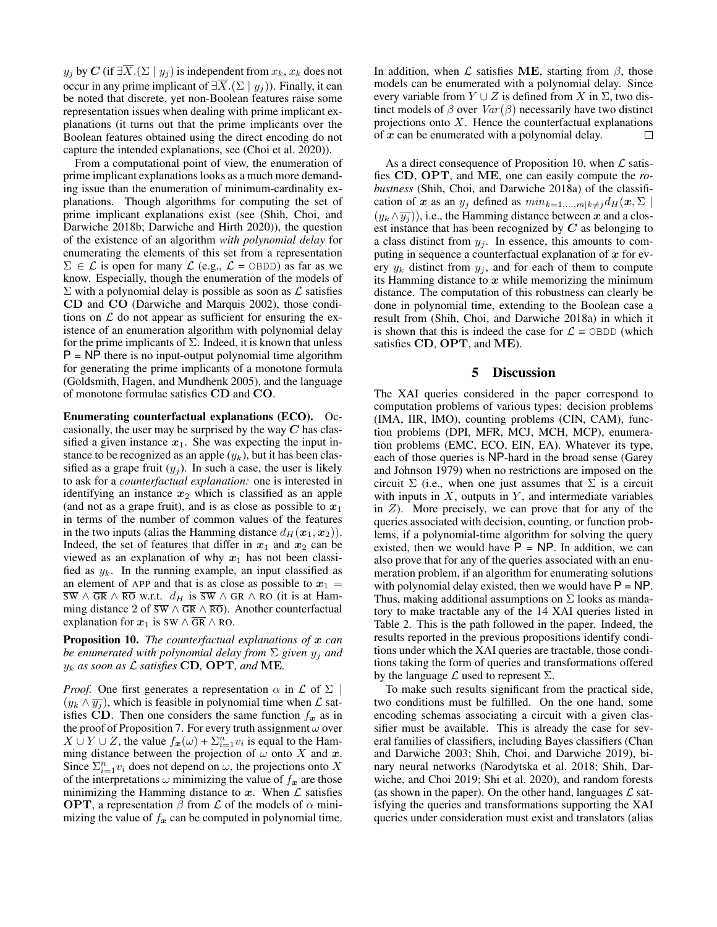$y_i$  by C (if  $\exists \overline{X}.(\Sigma \mid y_i)$  is independent from  $x_k, x_k$  does not occur in any prime implicant of  $\exists \overline{X}.(\Sigma \mid y_i)$ ). Finally, it can be noted that discrete, yet non-Boolean features raise some representation issues when dealing with prime implicant explanations (it turns out that the prime implicants over the Boolean features obtained using the direct encoding do not capture the intended explanations, see (Choi et al. 2020)).

From a computational point of view, the enumeration of prime implicant explanations looks as a much more demanding issue than the enumeration of minimum-cardinality explanations. Though algorithms for computing the set of prime implicant explanations exist (see (Shih, Choi, and Darwiche 2018b; Darwiche and Hirth 2020)), the question of the existence of an algorithm *with polynomial delay* for enumerating the elements of this set from a representation  $\Sigma \in \mathcal{L}$  is open for many  $\mathcal{L}$  (e.g.,  $\mathcal{L} =$  OBDD) as far as we know. Especially, though the enumeration of the models of  $\Sigma$  with a polynomial delay is possible as soon as  $\mathcal L$  satisfies CD and CO (Darwiche and Marquis 2002), those conditions on  $\mathcal L$  do not appear as sufficient for ensuring the existence of an enumeration algorithm with polynomial delay for the prime implicants of  $\Sigma$ . Indeed, it is known that unless  $P = NP$  there is no input-output polynomial time algorithm for generating the prime implicants of a monotone formula (Goldsmith, Hagen, and Mundhenk 2005), and the language of monotone formulae satisfies CD and CO.

Enumerating counterfactual explanations (ECO). Occasionally, the user may be surprised by the way  $C$  has classified a given instance  $x_1$ . She was expecting the input instance to be recognized as an apple  $(y_k)$ , but it has been classified as a grape fruit  $(y_i)$ . In such a case, the user is likely to ask for a *counterfactual explanation:* one is interested in identifying an instance  $x_2$  which is classified as an apple (and not as a grape fruit), and is as close as possible to  $x_1$ in terms of the number of common values of the features in the two inputs (alias the Hamming distance  $d_H(\mathbf{x}_1, \mathbf{x}_2)$ ). Indeed, the set of features that differ in  $x_1$  and  $x_2$  can be viewed as an explanation of why  $x_1$  has not been classified as  $y_k$ . In the running example, an input classified as an element of APP and that is as close as possible to  $x_1 =$  $\overline{SW} \wedge \overline{GR} \wedge \overline{RO}$  w.r.t.  $d_H$  is  $\overline{SW} \wedge GR \wedge RO$  (it is at Hamming distance 2 of  $\overline{sw} \wedge \overline{GR} \wedge \overline{RO}$ . Another counterfactual explanation for  $x_1$  is SW  $\land$  GR  $\land$  RO.

Proposition 10. *The counterfactual explanations of* x *can be enumerated with polynomial delay from*  $\Sigma$  *given*  $y_i$  *and* y<sup>k</sup> *as soon as* L *satisfies* CD*,* OPT*, and* ME*.*

*Proof.* One first generates a representation  $\alpha$  in  $\mathcal L$  of  $\Sigma$  $(y_k \wedge \overline{y_i})$ , which is feasible in polynomial time when  $\mathcal L$  satisfies CD. Then one considers the same function  $f_x$  as in the proof of Proposition 7. For every truth assignment  $\omega$  over  $X \cup Y \cup Z$ , the value  $f_{\boldsymbol{x}}(\omega) + \sum_{i=1}^n v_i$  is equal to the Hamming distance between the projection of  $\omega$  onto X and x. Since  $\sum_{i=1}^{n} v_i$  does not depend on  $\omega$ , the projections onto X of the interpretations  $\omega$  minimizing the value of  $f_x$  are those minimizing the Hamming distance to  $x$ . When  $\mathcal L$  satisfies **OPT**, a representation  $\beta$  from  $\mathcal L$  of the models of  $\alpha$  minimizing the value of  $f_x$  can be computed in polynomial time. In addition, when  $\mathcal L$  satisfies ME, starting from  $\beta$ , those models can be enumerated with a polynomial delay. Since every variable from  $Y \cup Z$  is defined from X in  $\Sigma$ , two distinct models of  $\beta$  over  $Var(\beta)$  necessarily have two distinct projections onto  $X$ . Hence the counterfactual explanations of  $x$  can be enumerated with a polynomial delay.  $\Box$ 

As a direct consequence of Proposition 10, when  $\mathcal L$  satisfies CD, OPT, and ME, one can easily compute the *robustness* (Shih, Choi, and Darwiche 2018a) of the classification of x as an  $y_j$  defined as  $min_{k=1,...,m|k\neq j}d_H(\mathbf{x}, \Sigma)$  $(y_k \wedge \overline{y_i})$ , i.e., the Hamming distance between x and a closest instance that has been recognized by  $C$  as belonging to a class distinct from  $y_j$ . In essence, this amounts to computing in sequence a counterfactual explanation of  $x$  for every  $y_k$  distinct from  $y_j$ , and for each of them to compute its Hamming distance to  $x$  while memorizing the minimum distance. The computation of this robustness can clearly be done in polynomial time, extending to the Boolean case a result from (Shih, Choi, and Darwiche 2018a) in which it is shown that this is indeed the case for  $\mathcal{L} =$  OBDD (which satisfies CD, OPT, and ME).

#### 5 Discussion

The XAI queries considered in the paper correspond to computation problems of various types: decision problems (IMA, IIR, IMO), counting problems (CIN, CAM), function problems (DPI, MFR, MCJ, MCH, MCP), enumeration problems (EMC, ECO, EIN, EA). Whatever its type, each of those queries is NP-hard in the broad sense (Garey and Johnson 1979) when no restrictions are imposed on the circuit  $\Sigma$  (i.e., when one just assumes that  $\Sigma$  is a circuit with inputs in  $X$ , outputs in  $Y$ , and intermediate variables in  $Z$ ). More precisely, we can prove that for any of the queries associated with decision, counting, or function problems, if a polynomial-time algorithm for solving the query existed, then we would have  $\overline{P}$  = NP. In addition, we can also prove that for any of the queries associated with an enumeration problem, if an algorithm for enumerating solutions with polynomial delay existed, then we would have  $P = NP$ . Thus, making additional assumptions on  $\Sigma$  looks as mandatory to make tractable any of the 14 XAI queries listed in Table 2. This is the path followed in the paper. Indeed, the results reported in the previous propositions identify conditions under which the XAI queries are tractable, those conditions taking the form of queries and transformations offered by the language  $\mathcal L$  used to represent  $\Sigma$ .

To make such results significant from the practical side, two conditions must be fulfilled. On the one hand, some encoding schemas associating a circuit with a given classifier must be available. This is already the case for several families of classifiers, including Bayes classifiers (Chan and Darwiche 2003; Shih, Choi, and Darwiche 2019), binary neural networks (Narodytska et al. 2018; Shih, Darwiche, and Choi 2019; Shi et al. 2020), and random forests (as shown in the paper). On the other hand, languages  $\mathcal L$  satisfying the queries and transformations supporting the XAI queries under consideration must exist and translators (alias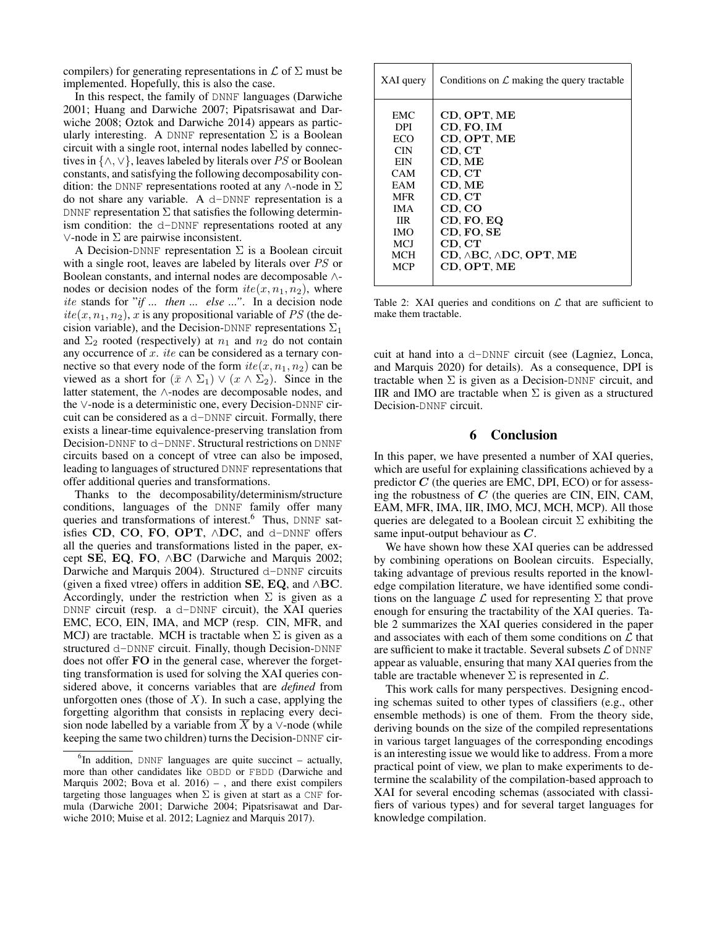compilers) for generating representations in  $\mathcal L$  of  $\Sigma$  must be implemented. Hopefully, this is also the case.

In this respect, the family of DNNF languages (Darwiche 2001; Huang and Darwiche 2007; Pipatsrisawat and Darwiche 2008; Oztok and Darwiche 2014) appears as particularly interesting. A DNNF representation  $\Sigma$  is a Boolean circuit with a single root, internal nodes labelled by connectives in  $\{\wedge, \vee\}$ , leaves labeled by literals over PS or Boolean constants, and satisfying the following decomposability condition: the DNNF representations rooted at any  $\wedge$ -node in  $\Sigma$ do not share any variable. A d-DNNF representation is a DNNF representation  $\Sigma$  that satisfies the following determinism condition: the d-DNNF representations rooted at any ∨-node in Σ are pairwise inconsistent.

A Decision-DNNF representation  $\Sigma$  is a Boolean circuit with a single root, leaves are labeled by literals over PS or Boolean constants, and internal nodes are decomposable ∧ nodes or decision nodes of the form  $ite(x, n_1, n_2)$ , where ite stands for "*if ... then ... else ..."*. In a decision node  $ite(x, n_1, n_2), x$  is any propositional variable of PS (the decision variable), and the Decision-DNNF representations  $\Sigma_1$ and  $\Sigma_2$  rooted (respectively) at  $n_1$  and  $n_2$  do not contain any occurrence of x. ite can be considered as a ternary connective so that every node of the form  $ite(x, n_1, n_2)$  can be viewed as a short for  $(\bar{x} \wedge \Sigma_1) \vee (x \wedge \Sigma_2)$ . Since in the latter statement, the ∧-nodes are decomposable nodes, and the ∨-node is a deterministic one, every Decision-DNNF circuit can be considered as a d-DNNF circuit. Formally, there exists a linear-time equivalence-preserving translation from Decision-DNNF to d-DNNF. Structural restrictions on DNNF circuits based on a concept of vtree can also be imposed, leading to languages of structured DNNF representations that offer additional queries and transformations.

Thanks to the decomposability/determinism/structure conditions, languages of the DNNF family offer many queries and transformations of interest.<sup>6</sup> Thus, DNNF satisfies CD, CO, FO, OPT, ∧DC, and d-DNNF offers all the queries and transformations listed in the paper, except SE, EQ, FO, ∧BC (Darwiche and Marquis 2002; Darwiche and Marquis 2004). Structured d-DNNF circuits (given a fixed vtree) offers in addition SE, EQ, and  $\wedge$ BC. Accordingly, under the restriction when  $\Sigma$  is given as a DNNF circuit (resp. a d-DNNF circuit), the XAI queries EMC, ECO, EIN, IMA, and MCP (resp. CIN, MFR, and MCJ) are tractable. MCH is tractable when  $\Sigma$  is given as a structured d-DNNF circuit. Finally, though Decision-DNNF does not offer FO in the general case, wherever the forgetting transformation is used for solving the XAI queries considered above, it concerns variables that are *defined* from unforgotten ones (those of  $X$ ). In such a case, applying the forgetting algorithm that consists in replacing every decision node labelled by a variable from X by a  $\vee$ -node (while keeping the same two children) turns the Decision-DNNF cir-

| XAI query  | Conditions on $\mathcal L$ making the query tractable |  |
|------------|-------------------------------------------------------|--|
| EMC.       | CD, OPT, ME                                           |  |
| DPI.       | CD, FO, IM                                            |  |
| ECO        | CD, OPT, ME                                           |  |
| <b>CIN</b> | CD, CT                                                |  |
| EIN        | CD, ME                                                |  |
| <b>CAM</b> | CD, CT                                                |  |
| EAM        | CD. ME                                                |  |
| <b>MFR</b> | CD, CT                                                |  |
| <b>IMA</b> | CD. CO                                                |  |
| IIR.       | CD, FO, EQ                                            |  |
| <b>IMO</b> | CD, FO, SE                                            |  |
| MCI        | CD. CT                                                |  |
| <b>MCH</b> | $CD, \triangle BC, \triangle DC, OPT, ME$             |  |
| <b>MCP</b> | CD. OPT. ME                                           |  |
|            |                                                       |  |

Table 2: XAI queries and conditions on  $\mathcal L$  that are sufficient to make them tractable.

cuit at hand into a d-DNNF circuit (see (Lagniez, Lonca, and Marquis 2020) for details). As a consequence, DPI is tractable when  $\Sigma$  is given as a Decision-DNNF circuit, and IIR and IMO are tractable when  $\Sigma$  is given as a structured Decision-DNNF circuit.

#### 6 Conclusion

In this paper, we have presented a number of XAI queries, which are useful for explaining classifications achieved by a predictor  $C$  (the queries are EMC, DPI, ECO) or for assessing the robustness of  $C$  (the queries are CIN, EIN, CAM, EAM, MFR, IMA, IIR, IMO, MCJ, MCH, MCP). All those queries are delegated to a Boolean circuit  $\Sigma$  exhibiting the same input-output behaviour as  $C$ .

We have shown how these XAI queries can be addressed by combining operations on Boolean circuits. Especially, taking advantage of previous results reported in the knowledge compilation literature, we have identified some conditions on the language  $\mathcal L$  used for representing  $\Sigma$  that prove enough for ensuring the tractability of the XAI queries. Table 2 summarizes the XAI queries considered in the paper and associates with each of them some conditions on  $\mathcal L$  that are sufficient to make it tractable. Several subsets  $\mathcal L$  of DNNF appear as valuable, ensuring that many XAI queries from the table are tractable whenever  $\Sigma$  is represented in  $\mathcal{L}$ .

This work calls for many perspectives. Designing encoding schemas suited to other types of classifiers (e.g., other ensemble methods) is one of them. From the theory side, deriving bounds on the size of the compiled representations in various target languages of the corresponding encodings is an interesting issue we would like to address. From a more practical point of view, we plan to make experiments to determine the scalability of the compilation-based approach to XAI for several encoding schemas (associated with classifiers of various types) and for several target languages for knowledge compilation.

 ${}^{6}$ In addition, DNNF languages are quite succinct – actually, more than other candidates like OBDD or FBDD (Darwiche and Marquis 2002; Bova et al.  $2016$ ) –, and there exist compilers targeting those languages when  $\Sigma$  is given at start as a CNF formula (Darwiche 2001; Darwiche 2004; Pipatsrisawat and Darwiche 2010; Muise et al. 2012; Lagniez and Marquis 2017).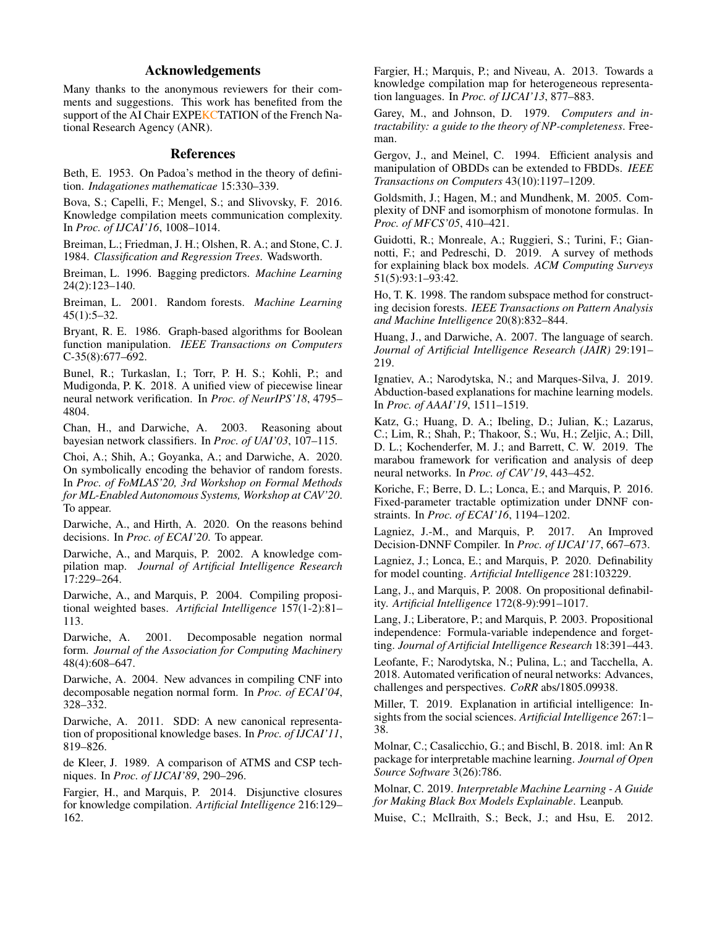### Acknowledgements

Many thanks to the anonymous reviewers for their comments and suggestions. This work has benefited from the support of the AI Chair EXPEKCTATION of the French National Research Agency (ANR).

#### References

Beth, E. 1953. On Padoa's method in the theory of definition. *Indagationes mathematicae* 15:330–339.

Bova, S.; Capelli, F.; Mengel, S.; and Slivovsky, F. 2016. Knowledge compilation meets communication complexity. In *Proc. of IJCAI'16*, 1008–1014.

Breiman, L.; Friedman, J. H.; Olshen, R. A.; and Stone, C. J. 1984. *Classification and Regression Trees*. Wadsworth.

Breiman, L. 1996. Bagging predictors. *Machine Learning* 24(2):123–140.

Breiman, L. 2001. Random forests. *Machine Learning*  $45(1):5-32.$ 

Bryant, R. E. 1986. Graph-based algorithms for Boolean function manipulation. *IEEE Transactions on Computers* C-35(8):677–692.

Bunel, R.; Turkaslan, I.; Torr, P. H. S.; Kohli, P.; and Mudigonda, P. K. 2018. A unified view of piecewise linear neural network verification. In *Proc. of NeurIPS'18*, 4795– 4804.

Chan, H., and Darwiche, A. 2003. Reasoning about bayesian network classifiers. In *Proc. of UAI'03*, 107–115.

Choi, A.; Shih, A.; Goyanka, A.; and Darwiche, A. 2020. On symbolically encoding the behavior of random forests. In *Proc. of FoMLAS'20, 3rd Workshop on Formal Methods for ML-Enabled Autonomous Systems, Workshop at CAV'20*. To appear.

Darwiche, A., and Hirth, A. 2020. On the reasons behind decisions. In *Proc. of ECAI'20*. To appear.

Darwiche, A., and Marquis, P. 2002. A knowledge compilation map. *Journal of Artificial Intelligence Research* 17:229–264.

Darwiche, A., and Marquis, P. 2004. Compiling propositional weighted bases. *Artificial Intelligence* 157(1-2):81– 113.

Darwiche, A. 2001. Decomposable negation normal form. *Journal of the Association for Computing Machinery* 48(4):608–647.

Darwiche, A. 2004. New advances in compiling CNF into decomposable negation normal form. In *Proc. of ECAI'04*, 328–332.

Darwiche, A. 2011. SDD: A new canonical representation of propositional knowledge bases. In *Proc. of IJCAI'11*, 819–826.

de Kleer, J. 1989. A comparison of ATMS and CSP techniques. In *Proc. of IJCAI'89*, 290–296.

Fargier, H., and Marquis, P. 2014. Disjunctive closures for knowledge compilation. *Artificial Intelligence* 216:129– 162.

Fargier, H.; Marquis, P.; and Niveau, A. 2013. Towards a knowledge compilation map for heterogeneous representation languages. In *Proc. of IJCAI'13*, 877–883.

Garey, M., and Johnson, D. 1979. *Computers and intractability: a guide to the theory of NP-completeness*. Freeman.

Gergov, J., and Meinel, C. 1994. Efficient analysis and manipulation of OBDDs can be extended to FBDDs. *IEEE Transactions on Computers* 43(10):1197–1209.

Goldsmith, J.; Hagen, M.; and Mundhenk, M. 2005. Complexity of DNF and isomorphism of monotone formulas. In *Proc. of MFCS'05*, 410–421.

Guidotti, R.; Monreale, A.; Ruggieri, S.; Turini, F.; Giannotti, F.; and Pedreschi, D. 2019. A survey of methods for explaining black box models. *ACM Computing Surveys* 51(5):93:1–93:42.

Ho, T. K. 1998. The random subspace method for constructing decision forests. *IEEE Transactions on Pattern Analysis and Machine Intelligence* 20(8):832–844.

Huang, J., and Darwiche, A. 2007. The language of search. *Journal of Artificial Intelligence Research (JAIR)* 29:191– 219.

Ignatiev, A.; Narodytska, N.; and Marques-Silva, J. 2019. Abduction-based explanations for machine learning models. In *Proc. of AAAI'19*, 1511–1519.

Katz, G.; Huang, D. A.; Ibeling, D.; Julian, K.; Lazarus, C.; Lim, R.; Shah, P.; Thakoor, S.; Wu, H.; Zeljic, A.; Dill, D. L.; Kochenderfer, M. J.; and Barrett, C. W. 2019. The marabou framework for verification and analysis of deep neural networks. In *Proc. of CAV'19*, 443–452.

Koriche, F.; Berre, D. L.; Lonca, E.; and Marquis, P. 2016. Fixed-parameter tractable optimization under DNNF constraints. In *Proc. of ECAI'16*, 1194–1202.

Lagniez, J.-M., and Marquis, P. 2017. An Improved Decision-DNNF Compiler. In *Proc. of IJCAI'17*, 667–673.

Lagniez, J.; Lonca, E.; and Marquis, P. 2020. Definability for model counting. *Artificial Intelligence* 281:103229.

Lang, J., and Marquis, P. 2008. On propositional definability. *Artificial Intelligence* 172(8-9):991–1017.

Lang, J.; Liberatore, P.; and Marquis, P. 2003. Propositional independence: Formula-variable independence and forgetting. *Journal of Artificial Intelligence Research* 18:391–443.

Leofante, F.; Narodytska, N.; Pulina, L.; and Tacchella, A. 2018. Automated verification of neural networks: Advances, challenges and perspectives. *CoRR* abs/1805.09938.

Miller, T. 2019. Explanation in artificial intelligence: Insights from the social sciences. *Artificial Intelligence* 267:1– 38.

Molnar, C.; Casalicchio, G.; and Bischl, B. 2018. iml: An R package for interpretable machine learning. *Journal of Open Source Software* 3(26):786.

Molnar, C. 2019. *Interpretable Machine Learning - A Guide for Making Black Box Models Explainable*. Leanpub.

Muise, C.; McIlraith, S.; Beck, J.; and Hsu, E. 2012.